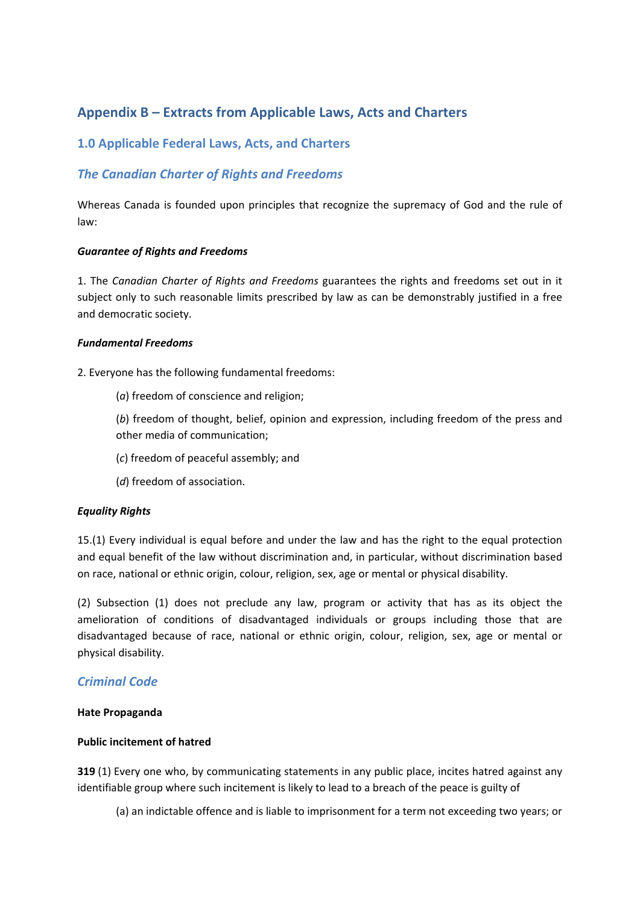# **Appendix B – Extracts from Applicable Laws, Acts and Charters**

## **1.0 Applicable Federal Laws, Acts, and Charters**

## *The Canadian Charter of Rights and Freedoms*

Whereas Canada is founded upon principles that recognize the supremacy of God and the rule of law:

#### *Guarantee of Rights and Freedoms*

1. The *Canadian Charter of Rights and Freedoms* guarantees the rights and freedoms set out in it subject only to such reasonable limits prescribed by law as can be demonstrably justified in a free and democratic society.

#### *Fundamental Freedoms*

2. Everyone has the following fundamental freedoms:

(*a*) freedom of conscience and religion;

(*b*) freedom of thought, belief, opinion and expression, including freedom of the press and other media of communication;

(*c*) freedom of peaceful assembly; and

(*d*) freedom of association.

### *Equality Rights*

15.(1) Every individual is equal before and under the law and has the right to the equal protection and equal benefit of the law without discrimination and, in particular, without discrimination based on race, national or ethnic origin, colour, religion, sex, age or mental or physical disability.

(2) Subsection (1) does not preclude any law, program or activity that has as its object the amelioration of conditions of disadvantaged individuals or groups including those that are disadvantaged because of race, national or ethnic origin, colour, religion, sex, age or mental or physical disability.

### *Criminal Code*

#### **Hate Propaganda**

#### **Public incitement of hatred**

**319** (1) Every one who, by communicating statements in any public place, incites hatred against any identifiable group where such incitement is likely to lead to a breach of the peace is guilty of

(a) an indictable offence and is liable to imprisonment for a term not exceeding two years; or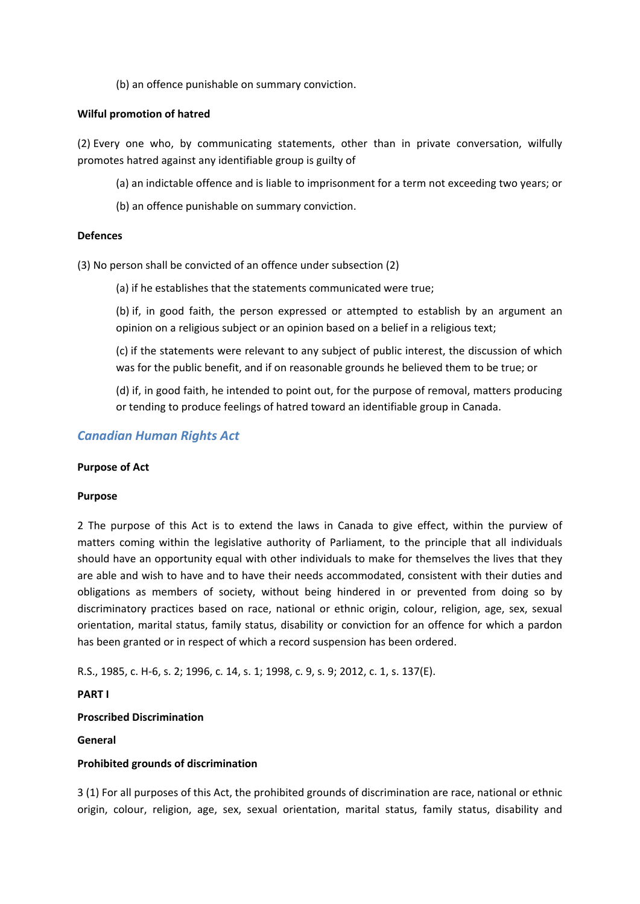(b) an offence punishable on summary conviction.

### **Wilful promotion of hatred**

(2) Every one who, by communicating statements, other than in private conversation, wilfully promotes hatred against any identifiable group is guilty of

- (a) an indictable offence and is liable to imprisonment for a term not exceeding two years; or
- (b) an offence punishable on summary conviction.

### **Defences**

(3) No person shall be convicted of an offence under subsection (2)

(a) if he establishes that the statements communicated were true;

(b) if, in good faith, the person expressed or attempted to establish by an argument an opinion on a religious subject or an opinion based on a belief in a religious text;

(c) if the statements were relevant to any subject of public interest, the discussion of which was for the public benefit, and if on reasonable grounds he believed them to be true; or

(d) if, in good faith, he intended to point out, for the purpose of removal, matters producing or tending to produce feelings of hatred toward an identifiable group in Canada.

### *Canadian Human Rights Act*

### **Purpose of Act**

### **Purpose**

2 The purpose of this Act is to extend the laws in Canada to give effect, within the purview of matters coming within the legislative authority of Parliament, to the principle that all individuals should have an opportunity equal with other individuals to make for themselves the lives that they are able and wish to have and to have their needs accommodated, consistent with their duties and obligations as members of society, without being hindered in or prevented from doing so by discriminatory practices based on race, national or ethnic origin, colour, religion, age, sex, sexual orientation, marital status, family status, disability or conviction for an offence for which a pardon has been granted or in respect of which a record suspension has been ordered.

R.S., 1985, c. H-6, s. 2; 1996, c. 14, s. 1; 1998, c. 9, s. 9; 2012, c. 1, s. 137(E).

### **PART I**

### **Proscribed Discrimination**

### **General**

### **Prohibited grounds of discrimination**

3 (1) For all purposes of this Act, the prohibited grounds of discrimination are race, national or ethnic origin, colour, religion, age, sex, sexual orientation, marital status, family status, disability and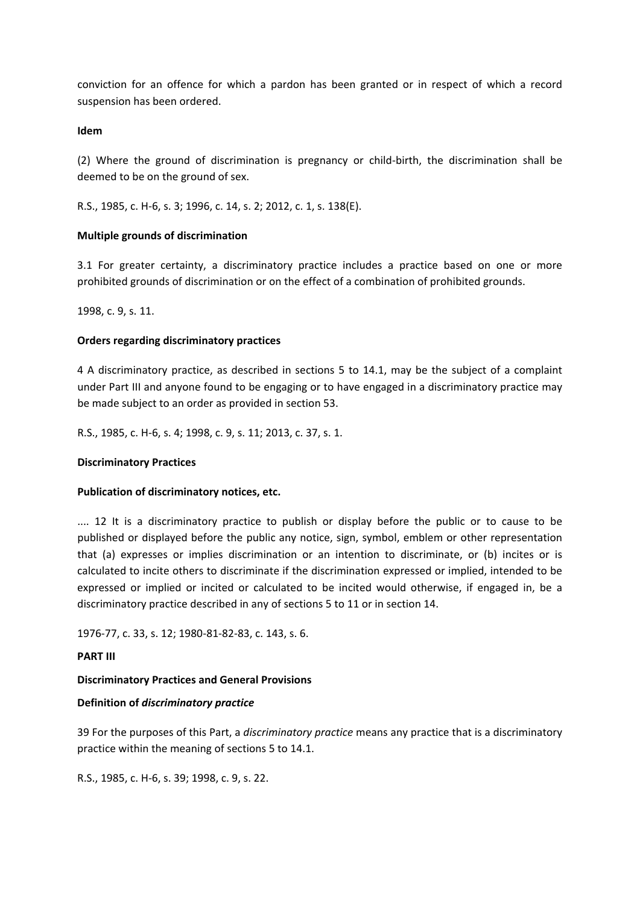conviction for an offence for which a pardon has been granted or in respect of which a record suspension has been ordered.

### **Idem**

(2) Where the ground of discrimination is pregnancy or child-birth, the discrimination shall be deemed to be on the ground of sex.

R.S., 1985, c. H-6, s. 3; 1996, c. 14, s. 2; 2012, c. 1, s. 138(E).

### **Multiple grounds of discrimination**

3.1 For greater certainty, a discriminatory practice includes a practice based on one or more prohibited grounds of discrimination or on the effect of a combination of prohibited grounds.

1998, c. 9, s. 11.

### **Orders regarding discriminatory practices**

4 A discriminatory practice, as described in sections 5 to 14.1, may be the subject of a complaint under Part III and anyone found to be engaging or to have engaged in a discriminatory practice may be made subject to an order as provided in section 53.

R.S., 1985, c. H-6, s. 4; 1998, c. 9, s. 11; 2013, c. 37, s. 1.

### **Discriminatory Practices**

### **Publication of discriminatory notices, etc.**

.... 12 It is a discriminatory practice to publish or display before the public or to cause to be published or displayed before the public any notice, sign, symbol, emblem or other representation that (a) expresses or implies discrimination or an intention to discriminate, or (b) incites or is calculated to incite others to discriminate if the discrimination expressed or implied, intended to be expressed or implied or incited or calculated to be incited would otherwise, if engaged in, be a discriminatory practice described in any of sections 5 to 11 or in section 14.

1976-77, c. 33, s. 12; 1980-81-82-83, c. 143, s. 6.

### **PART III**

### **Discriminatory Practices and General Provisions**

### **Definition of** *discriminatory practice*

39 For the purposes of this Part, a *discriminatory practice* means any practice that is a discriminatory practice within the meaning of sections 5 to 14.1.

R.S., 1985, c. H-6, s. 39; 1998, c. 9, s. 22.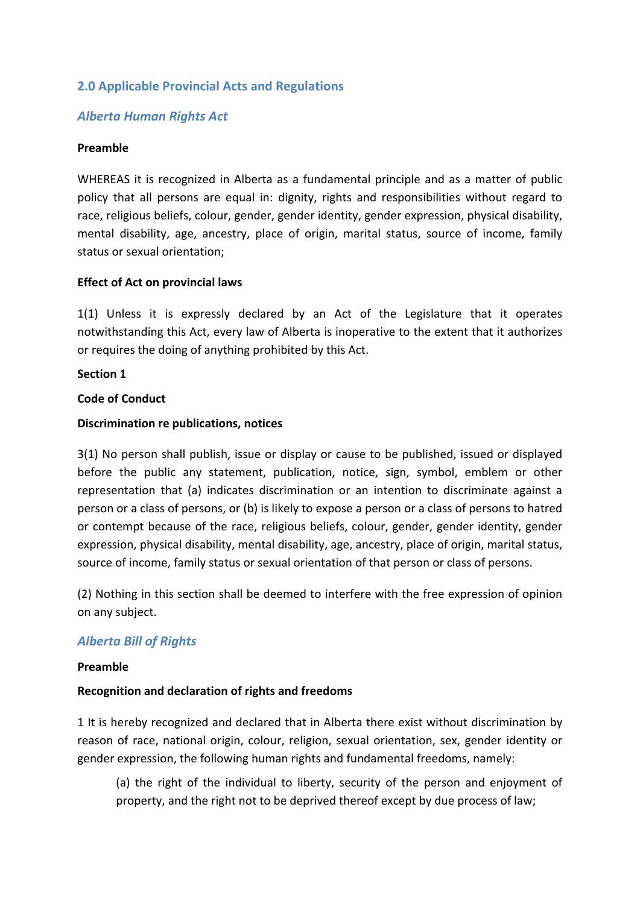## **2.0 Applicable Provincial Acts and Regulations**

### *Alberta Human Rights Act*

### **Preamble**

WHEREAS it is recognized in Alberta as a fundamental principle and as a matter of public policy that all persons are equal in: dignity, rights and responsibilities without regard to race, religious beliefs, colour, gender, gender identity, gender expression, physical disability, mental disability, age, ancestry, place of origin, marital status, source of income, family status or sexual orientation;

### **Effect of Act on provincial laws**

1(1) Unless it is expressly declared by an Act of the Legislature that it operates notwithstanding this Act, every law of Alberta is inoperative to the extent that it authorizes or requires the doing of anything prohibited by this Act.

### **Section 1**

### **Code of Conduct**

### **Discrimination re publications, notices**

3(1) No person shall publish, issue or display or cause to be published, issued or displayed before the public any statement, publication, notice, sign, symbol, emblem or other representation that (a) indicates discrimination or an intention to discriminate against a person or a class of persons, or (b) is likely to expose a person or a class of persons to hatred or contempt because of the race, religious beliefs, colour, gender, gender identity, gender expression, physical disability, mental disability, age, ancestry, place of origin, marital status, source of income, family status or sexual orientation of that person or class of persons.

(2) Nothing in this section shall be deemed to interfere with the free expression of opinion on any subject.

### *Alberta Bill of Rights*

### **Preamble**

### **Recognition and declaration of rights and freedoms**

1 It is hereby recognized and declared that in Alberta there exist without discrimination by reason of race, national origin, colour, religion, sexual orientation, sex, gender identity or gender expression, the following human rights and fundamental freedoms, namely:

(a) the right of the individual to liberty, security of the person and enjoyment of property, and the right not to be deprived thereof except by due process of law;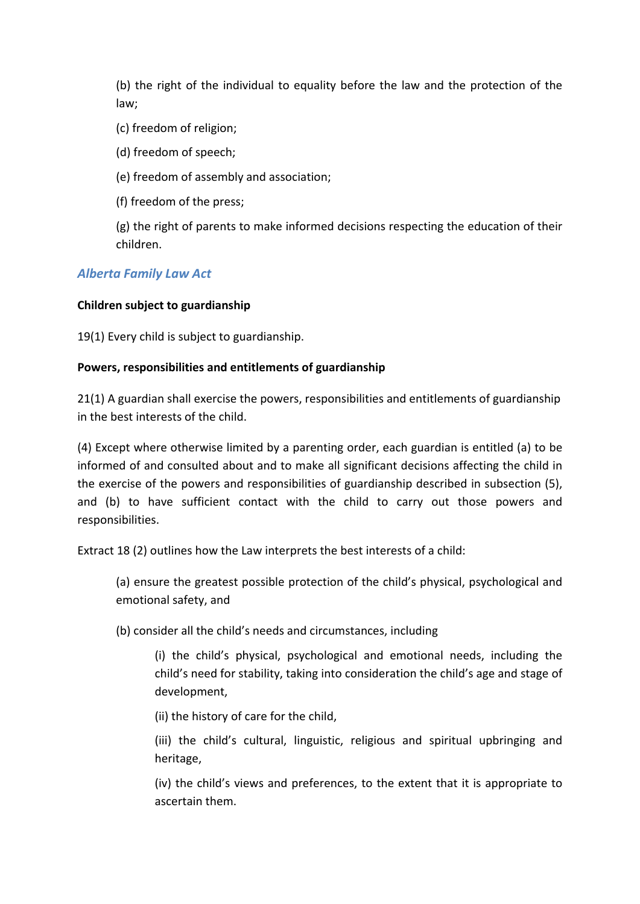(b) the right of the individual to equality before the law and the protection of the law;

(c) freedom of religion;

(d) freedom of speech;

(e) freedom of assembly and association;

(f) freedom of the press;

(g) the right of parents to make informed decisions respecting the education of their children.

# *Alberta Family Law Act*

## **Children subject to guardianship**

19(1) Every child is subject to guardianship.

## **Powers, responsibilities and entitlements of guardianship**

21(1) A guardian shall exercise the powers, responsibilities and entitlements of guardianship in the best interests of the child.

(4) Except where otherwise limited by a parenting order, each guardian is entitled (a) to be informed of and consulted about and to make all significant decisions affecting the child in the exercise of the powers and responsibilities of guardianship described in subsection (5), and (b) to have sufficient contact with the child to carry out those powers and responsibilities.

Extract 18 (2) outlines how the Law interprets the best interests of a child:

(a) ensure the greatest possible protection of the child's physical, psychological and emotional safety, and

(b) consider all the child's needs and circumstances, including

(i) the child's physical, psychological and emotional needs, including the child's need for stability, taking into consideration the child's age and stage of development,

(ii) the history of care for the child,

(iii) the child's cultural, linguistic, religious and spiritual upbringing and heritage,

(iv) the child's views and preferences, to the extent that it is appropriate to ascertain them.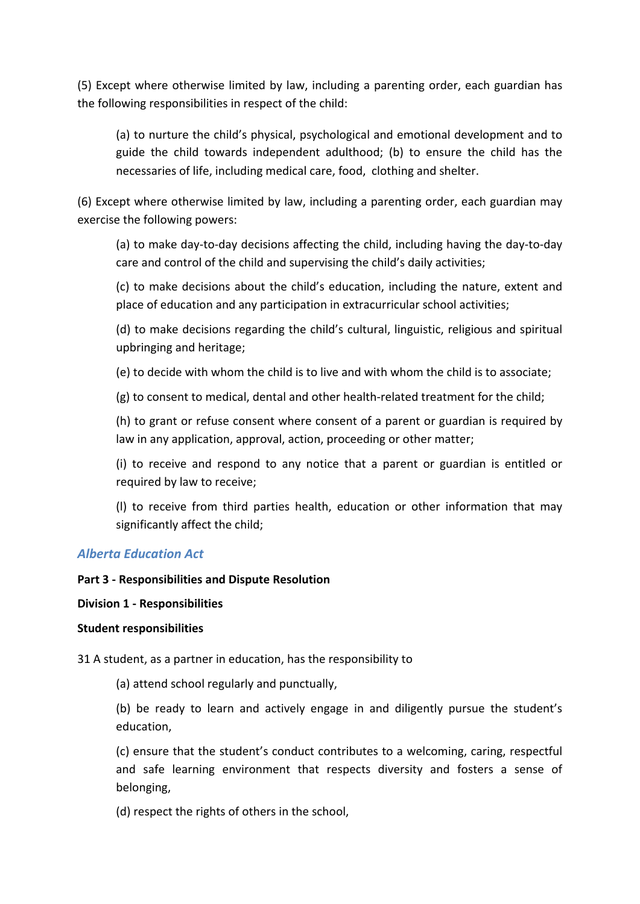(5) Except where otherwise limited by law, including a parenting order, each guardian has the following responsibilities in respect of the child:

(a) to nurture the child's physical, psychological and emotional development and to guide the child towards independent adulthood; (b) to ensure the child has the necessaries of life, including medical care, food, clothing and shelter.

(6) Except where otherwise limited by law, including a parenting order, each guardian may exercise the following powers:

(a) to make day-to-day decisions affecting the child, including having the day-to-day care and control of the child and supervising the child's daily activities;

(c) to make decisions about the child's education, including the nature, extent and place of education and any participation in extracurricular school activities;

(d) to make decisions regarding the child's cultural, linguistic, religious and spiritual upbringing and heritage;

(e) to decide with whom the child is to live and with whom the child is to associate;

(g) to consent to medical, dental and other health-related treatment for the child;

(h) to grant or refuse consent where consent of a parent or guardian is required by law in any application, approval, action, proceeding or other matter;

(i) to receive and respond to any notice that a parent or guardian is entitled or required by law to receive;

(l) to receive from third parties health, education or other information that may significantly affect the child;

## *Alberta Education Act*

### **Part 3 - Responsibilities and Dispute Resolution**

### **Division 1 - Responsibilities**

### **Student responsibilities**

31 A student, as a partner in education, has the responsibility to

(a) attend school regularly and punctually,

(b) be ready to learn and actively engage in and diligently pursue the student's education,

(c) ensure that the student's conduct contributes to a welcoming, caring, respectful and safe learning environment that respects diversity and fosters a sense of belonging,

(d) respect the rights of others in the school,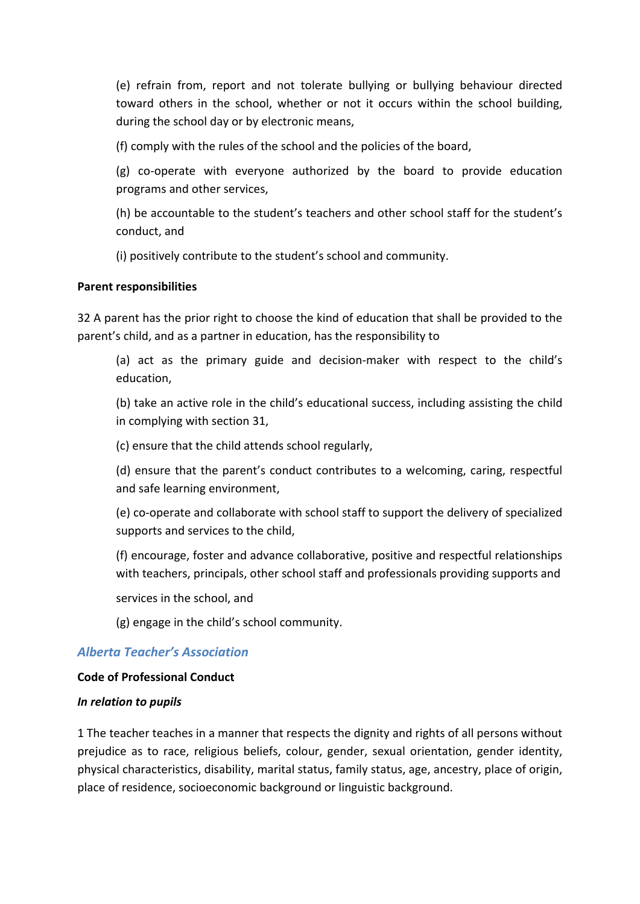(e) refrain from, report and not tolerate bullying or bullying behaviour directed toward others in the school, whether or not it occurs within the school building, during the school day or by electronic means,

(f) comply with the rules of the school and the policies of the board,

(g) co-operate with everyone authorized by the board to provide education programs and other services,

(h) be accountable to the student's teachers and other school staff for the student's conduct, and

(i) positively contribute to the student's school and community.

## **Parent responsibilities**

32 A parent has the prior right to choose the kind of education that shall be provided to the parent's child, and as a partner in education, has the responsibility to

(a) act as the primary guide and decision-maker with respect to the child's education,

(b) take an active role in the child's educational success, including assisting the child in complying with section 31,

(c) ensure that the child attends school regularly,

(d) ensure that the parent's conduct contributes to a welcoming, caring, respectful and safe learning environment,

(e) co-operate and collaborate with school staff to support the delivery of specialized supports and services to the child,

(f) encourage, foster and advance collaborative, positive and respectful relationships with teachers, principals, other school staff and professionals providing supports and

services in the school, and

(g) engage in the child's school community.

# *Alberta Teacher's Association*

## **Code of Professional Conduct**

## *In relation to pupils*

1 The teacher teaches in a manner that respects the dignity and rights of all persons without prejudice as to race, religious beliefs, colour, gender, sexual orientation, gender identity, physical characteristics, disability, marital status, family status, age, ancestry, place of origin, place of residence, socioeconomic background or linguistic background.